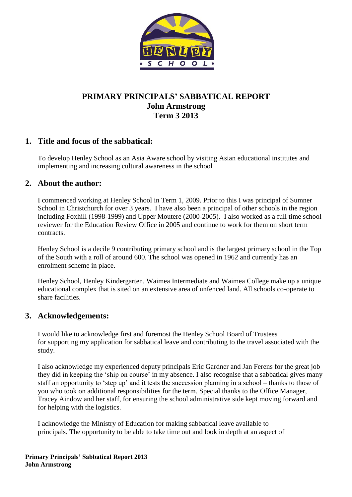

# **PRIMARY PRINCIPALS' SABBATICAL REPORT John Armstrong Term 3 2013**

# **1. Title and focus of the sabbatical:**

To develop Henley School as an Asia Aware school by visiting Asian educational institutes and implementing and increasing cultural awareness in the school

# **2. About the author:**

I commenced working at Henley School in Term 1, 2009. Prior to this I was principal of Sumner School in Christchurch for over 3 years. I have also been a principal of other schools in the region including Foxhill (1998-1999) and Upper Moutere (2000-2005). I also worked as a full time school reviewer for the Education Review Office in 2005 and continue to work for them on short term contracts.

Henley School is a decile 9 contributing primary school and is the largest primary school in the Top of the South with a roll of around 600. The school was opened in 1962 and currently has an enrolment scheme in place.

Henley School, Henley Kindergarten, Waimea Intermediate and Waimea College make up a unique educational complex that is sited on an extensive area of unfenced land. All schools co-operate to share facilities.

# **3. Acknowledgements:**

I would like to acknowledge first and foremost the Henley School Board of Trustees for supporting my application for sabbatical leave and contributing to the travel associated with the study.

I also acknowledge my experienced deputy principals Eric Gardner and Jan Ferens for the great job they did in keeping the "ship on course" in my absence. I also recognise that a sabbatical gives many staff an opportunity to "step up" and it tests the succession planning in a school – thanks to those of you who took on additional responsibilities for the term. Special thanks to the Office Manager, Tracey Aindow and her staff, for ensuring the school administrative side kept moving forward and for helping with the logistics.

I acknowledge the Ministry of Education for making sabbatical leave available to principals. The opportunity to be able to take time out and look in depth at an aspect of

**Primary Principals' Sabbatical Report 2013 John Armstrong**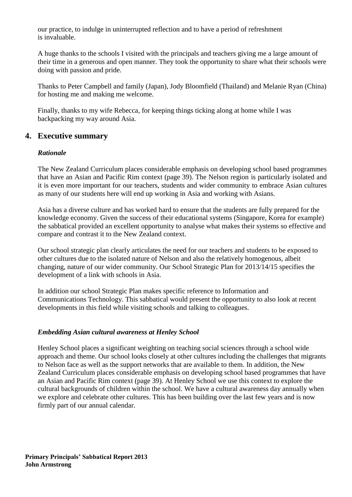our practice, to indulge in uninterrupted reflection and to have a period of refreshment is invaluable.

A huge thanks to the schools I visited with the principals and teachers giving me a large amount of their time in a generous and open manner. They took the opportunity to share what their schools were doing with passion and pride.

Thanks to Peter Campbell and family (Japan), Jody Bloomfield (Thailand) and Melanie Ryan (China) for hosting me and making me welcome.

Finally, thanks to my wife Rebecca, for keeping things ticking along at home while I was backpacking my way around Asia.

# **4. Executive summary**

### *Rationale*

The New Zealand Curriculum places considerable emphasis on developing school based programmes that have an Asian and Pacific Rim context (page 39). The Nelson region is particularly isolated and it is even more important for our teachers, students and wider community to embrace Asian cultures as many of our students here will end up working in Asia and working with Asians.

Asia has a diverse culture and has worked hard to ensure that the students are fully prepared for the knowledge economy. Given the success of their educational systems (Singapore, Korea for example) the sabbatical provided an excellent opportunity to analyse what makes their systems so effective and compare and contrast it to the New Zealand context.

Our school strategic plan clearly articulates the need for our teachers and students to be exposed to other cultures due to the isolated nature of Nelson and also the relatively homogenous, albeit changing, nature of our wider community. Our School Strategic Plan for 2013/14/15 specifies the development of a link with schools in Asia.

In addition our school Strategic Plan makes specific reference to Information and Communications Technology. This sabbatical would present the opportunity to also look at recent developments in this field while visiting schools and talking to colleagues.

#### *Embedding Asian cultural awareness at Henley School*

Henley School places a significant weighting on teaching social sciences through a school wide approach and theme. Our school looks closely at other cultures including the challenges that migrants to Nelson face as well as the support networks that are available to them. In addition, the New Zealand Curriculum places considerable emphasis on developing school based programmes that have an Asian and Pacific Rim context (page 39). At Henley School we use this context to explore the cultural backgrounds of children within the school. We have a cultural awareness day annually when we explore and celebrate other cultures. This has been building over the last few years and is now firmly part of our annual calendar.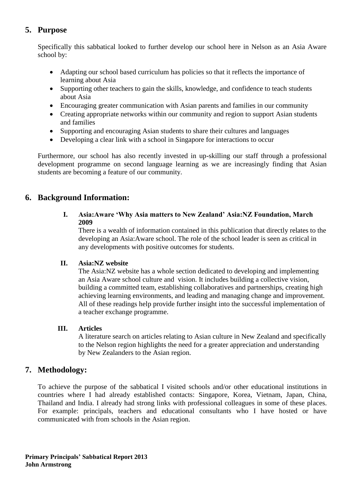# **5. Purpose**

Specifically this sabbatical looked to further develop our school here in Nelson as an Asia Aware school by:

- Adapting our school based curriculum has policies so that it reflects the importance of learning about Asia
- Supporting other teachers to gain the skills, knowledge, and confidence to teach students about Asia
- Encouraging greater communication with Asian parents and families in our community
- Creating appropriate networks within our community and region to support Asian students and families
- Supporting and encouraging Asian students to share their cultures and languages
- Developing a clear link with a school in Singapore for interactions to occur

Furthermore, our school has also recently invested in up-skilling our staff through a professional development programme on second language learning as we are increasingly finding that Asian students are becoming a feature of our community.

# **6. Background Information:**

#### **I. Asia:Aware 'Why Asia matters to New Zealand' Asia:NZ Foundation, March 2009**

There is a wealth of information contained in this publication that directly relates to the developing an Asia:Aware school. The role of the school leader is seen as critical in any developments with positive outcomes for students.

#### **II. Asia:NZ website**

The Asia:NZ website has a whole section dedicated to developing and implementing an Asia Aware school culture and vision. It includes building a collective vision, building a committed team, establishing collaboratives and partnerships, creating high achieving learning environments, and leading and managing change and improvement. All of these readings help provide further insight into the successful implementation of a teacher exchange programme.

### **III. Articles**

A literature search on articles relating to Asian culture in New Zealand and specifically to the Nelson region highlights the need for a greater appreciation and understanding by New Zealanders to the Asian region.

# **7. Methodology:**

To achieve the purpose of the sabbatical I visited schools and/or other educational institutions in countries where I had already established contacts: Singapore, Korea, Vietnam, Japan, China, Thailand and India. I already had strong links with professional colleagues in some of these places. For example: principals, teachers and educational consultants who I have hosted or have communicated with from schools in the Asian region.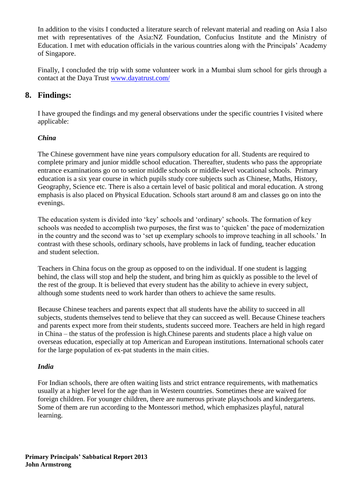In addition to the visits I conducted a literature search of relevant material and reading on Asia I also met with representatives of the Asia:NZ Foundation, Confucius Institute and the Ministry of Education. I met with education officials in the various countries along with the Principals" Academy of Singapore.

Finally, I concluded the trip with some volunteer work in a Mumbai slum school for girls through a contact at the Daya Trust [www.dayatrust.com/](http://www.dayatrust.com/)

# **8. Findings:**

I have grouped the findings and my general observations under the specific countries I visited where applicable:

# *China*

The Chinese government have nine years compulsory education for all. Students are required to complete primary and junior middle school education. Thereafter, students who pass the appropriate entrance examinations go on to senior middle schools or middle-level vocational schools. Primary education is a six year course in which pupils study core subjects such as Chinese, Maths, History, Geography, Science etc. There is also a certain level of basic political and moral education. A strong emphasis is also placed on Physical Education. Schools start around 8 am and classes go on into the evenings.

The education system is divided into "key" schools and "ordinary" schools. The formation of key schools was needed to accomplish two purposes, the first was to "quicken" the pace of modernization in the country and the second was to "set up exemplary schools to improve teaching in all schools." In contrast with these schools, ordinary schools, have problems in lack of funding, teacher education and student selection.

Teachers in China focus on the group as opposed to on the individual. If one student is lagging behind, the class will stop and help the student, and bring him as quickly as possible to the level of the rest of the group. It is believed that every student has the ability to achieve in every subject, although some students need to work harder than others to achieve the same results.

Because Chinese teachers and parents expect that all students have the ability to succeed in all subjects, students themselves tend to believe that they can succeed as well. Because Chinese teachers and parents expect more from their students, students succeed more. Teachers are held in high regard in China – the status of the profession is high.Chinese parents and students place a high value on overseas education, especially at top American and European institutions. International schools cater for the large population of ex-pat students in the main cities.

### *India*

For Indian schools, there are often waiting lists and strict entrance requirements, with mathematics usually at a higher level for the age than in Western countries. Sometimes these are waived for foreign children. For younger children, there are numerous private playschools and kindergartens. Some of them are run according to the Montessori method, which emphasizes playful, natural learning.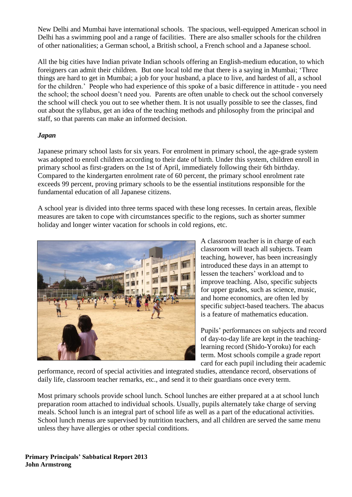New Delhi and Mumbai have international schools. The spacious, well-equipped American school in Delhi has a swimming pool and a range of facilities. There are also smaller schools for the children of other nationalities; a German school, a British school, a French school and a Japanese school.

All the big cities have Indian private Indian schools offering an English-medium education, to which foreigners can admit their children. But one local told me that there is a saying in Mumbai; "Three things are hard to get in Mumbai; a job for your husband, a place to live, and hardest of all, a school for the children." People who had experience of this spoke of a basic difference in attitude - you need the school; the school doesn"t need you. Parents are often unable to check out the school conversely the school will check you out to see whether them. It is not usually possible to see the classes, find out about the syllabus, get an idea of the teaching methods and philosophy from the principal and staff, so that parents can make an informed decision.

### *Japan*

Japanese primary school lasts for six years. For enrolment in primary school, the age-grade system was adopted to enroll children according to their date of birth. Under this system, children enroll in primary school as first-graders on the 1st of April, immediately following their 6th birthday. Compared to the kindergarten enrolment rate of 60 percent, the primary school enrolment rate exceeds 99 percent, proving primary schools to be the essential institutions responsible for the fundamental education of all Japanese citizens.

A school year is divided into three terms spaced with these long recesses. In certain areas, flexible measures are taken to cope with circumstances specific to the regions, such as shorter summer holiday and longer winter vacation for schools in cold regions, etc.



A classroom teacher is in charge of each classroom will teach all subjects. Team teaching, however, has been increasingly introduced these days in an attempt to lessen the teachers' workload and to improve teaching. Also, specific subjects for upper grades, such as science, music, and home economics, are often led by specific subject-based teachers. The abacus is a feature of mathematics education.

Pupils" performances on subjects and record of day-to-day life are kept in the teachinglearning record (Shido-Yoroku) for each term. Most schools compile a grade report card for each pupil including their academic

performance, record of special activities and integrated studies, attendance record, observations of daily life, classroom teacher remarks, etc., and send it to their guardians once every term.

Most primary schools provide school lunch. School lunches are either prepared at a at school lunch preparation room attached to individual schools. Usually, pupils alternately take charge of serving meals. School lunch is an integral part of school life as well as a part of the educational activities. School lunch menus are supervised by nutrition teachers, and all children are served the same menu unless they have allergies or other special conditions.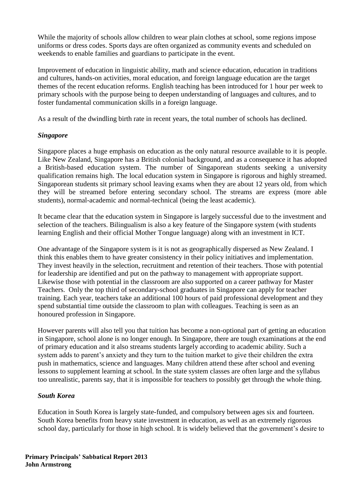While the majority of schools allow children to wear plain clothes at school, some regions impose uniforms or dress codes. Sports days are often organized as community events and scheduled on weekends to enable families and guardians to participate in the event.

Improvement of education in linguistic ability, math and science education, education in traditions and cultures, hands-on activities, moral education, and foreign language education are the target themes of the recent education reforms. English teaching has been introduced for 1 hour per week to primary schools with the purpose being to deepen understanding of languages and cultures, and to foster fundamental communication skills in a foreign language.

As a result of the dwindling birth rate in recent years, the total number of schools has declined.

### *Singapore*

Singapore places a huge emphasis on education as the only natural resource available to it is people. Like New Zealand, Singapore has a British colonial background, and as a consequence it has adopted a British-based education system. The number of Singaporean students seeking a university qualification remains high. The local education system in Singapore is rigorous and highly streamed. Singaporean students sit primary school leaving exams when they are about 12 years old, from which they will be streamed before entering secondary school. The streams are express (more able students), normal-academic and normal-technical (being the least academic).

It became clear that the education system in Singapore is largely successful due to the investment and selection of the teachers. Bilingualism is also a key feature of the Singapore system (with students learning English and their official Mother Tongue language) along with an investment in ICT.

One advantage of the Singapore system is it is not as geographically dispersed as New Zealand. I think this enables them to have greater consistency in their policy initiatives and implementation. They invest heavily in the selection, recruitment and retention of their teachers. Those with potential for leadership are identified and put on the pathway to management with appropriate support. Likewise those with potential in the classroom are also supported on a career pathway for Master Teachers. Only the top third of secondary-school graduates in Singapore can apply for teacher training. Each year, teachers take an additional 100 hours of paid professional development and they spend substantial time outside the classroom to plan with colleagues. Teaching is seen as an honoured profession in Singapore.

However parents will also tell you that tuition has become a non-optional part of getting an education in Singapore, school alone is no longer enough. In Singapore, there are tough examinations at the end of primary education and it also streams students largely according to academic ability. Such a system adds to parent's anxiety and they turn to the tuition market to give their children the extra push in mathematics, science and languages. Many children attend these after school and evening lessons to supplement learning at school. In the state system classes are often large and the syllabus too unrealistic, parents say, that it is impossible for teachers to possibly get through the whole thing.

### *South Korea*

Education in South Korea is largely state-funded, and compulsory between ages six and fourteen. South Korea benefits from heavy state investment in education, as well as an extremely rigorous school day, particularly for those in high school. It is widely believed that the government's desire to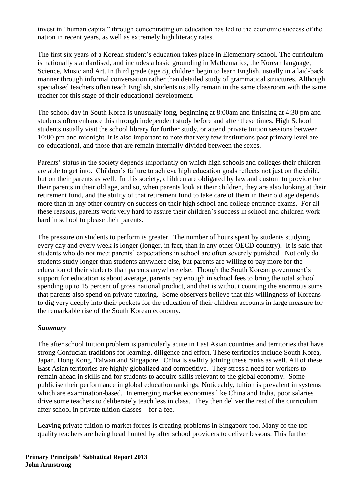invest in "human capital" through concentrating on education has led to the economic success of the nation in recent years, as well as extremely high literacy rates.

The first six years of a Korean student's education takes place in Elementary school. The curriculum is nationally standardised, and includes a basic grounding in Mathematics, the Korean language, Science, Music and Art. In third grade (age 8), children begin to learn English, usually in a laid-back manner through informal conversation rather than detailed study of grammatical structures. Although specialised teachers often teach English, students usually remain in the same classroom with the same teacher for this stage of their educational development.

The school day in South Korea is unusually long, beginning at 8:00am and finishing at 4:30 pm and students often enhance this through independent study before and after these times. High School students usually visit the school library for further study, or attend private tuition sessions between 10:00 pm and midnight. It is also important to note that very few institutions past primary level are co-educational, and those that are remain internally divided between the sexes.

Parents' status in the society depends importantly on which high schools and colleges their children are able to get into. Children"s failure to achieve high education goals reflects not just on the child, but on their parents as well. In this society, children are obligated by law and custom to provide for their parents in their old age, and so, when parents look at their children, they are also looking at their retirement fund, and the ability of that retirement fund to take care of them in their old age depends more than in any other country on success on their high school and college entrance exams. For all these reasons, parents work very hard to assure their children"s success in school and children work hard in school to please their parents.

The pressure on students to perform is greater. The number of hours spent by students studying every day and every week is longer (longer, in fact, than in any other OECD country). It is said that students who do not meet parents" expectations in school are often severely punished. Not only do students study longer than students anywhere else, but parents are willing to pay more for the education of their students than parents anywhere else. Though the South Korean government's support for education is about average, parents pay enough in school fees to bring the total school spending up to 15 percent of gross national product, and that is without counting the enormous sums that parents also spend on private tutoring. Some observers believe that this willingness of Koreans to dig very deeply into their pockets for the education of their children accounts in large measure for the remarkable rise of the South Korean economy.

#### *Summary*

The after school tuition problem is particularly acute in East Asian countries and territories that have strong Confucian traditions for learning, diligence and effort. These territories include South Korea, Japan, Hong Kong, Taiwan and Singapore. China is swiftly joining these ranks as well. All of these East Asian territories are highly globalized and competitive. They stress a need for workers to remain ahead in skills and for students to acquire skills relevant to the global economy. Some publicise their performance in global education rankings. Noticeably, tuition is prevalent in systems which are examination-based. In emerging market economies like China and India, poor salaries drive some teachers to deliberately teach less in class. They then deliver the rest of the curriculum after school in private tuition classes – for a fee.

Leaving private tuition to market forces is creating problems in Singapore too. Many of the top quality teachers are being head hunted by after school providers to deliver lessons. This further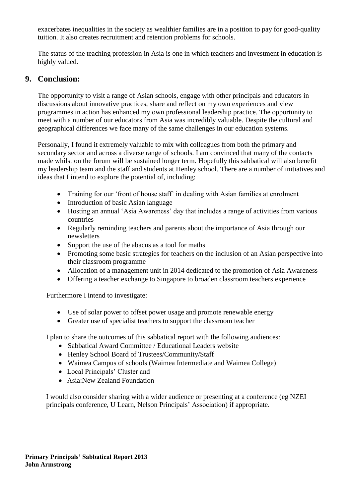exacerbates inequalities in the society as wealthier families are in a position to pay for good-quality tuition. It also creates recruitment and retention problems for schools.

The status of the teaching profession in Asia is one in which teachers and investment in education is highly valued.

# **9. Conclusion:**

The opportunity to visit a range of Asian schools, engage with other principals and educators in discussions about innovative practices, share and reflect on my own experiences and view programmes in action has enhanced my own professional leadership practice. The opportunity to meet with a number of our educators from Asia was incredibly valuable. Despite the cultural and geographical differences we face many of the same challenges in our education systems.

Personally, I found it extremely valuable to mix with colleagues from both the primary and secondary sector and across a diverse range of schools. I am convinced that many of the contacts made whilst on the forum will be sustained longer term. Hopefully this sabbatical will also benefit my leadership team and the staff and students at Henley school. There are a number of initiatives and ideas that I intend to explore the potential of, including:

- Training for our 'front of house staff' in dealing with Asian families at enrolment
- Introduction of basic Asian language
- Hosting an annual 'Asia Awareness' day that includes a range of activities from various countries
- Regularly reminding teachers and parents about the importance of Asia through our newsletters
- Support the use of the abacus as a tool for maths
- Promoting some basic strategies for teachers on the inclusion of an Asian perspective into their classroom programme
- Allocation of a management unit in 2014 dedicated to the promotion of Asia Awareness
- Offering a teacher exchange to Singapore to broaden classroom teachers experience

Furthermore I intend to investigate:

- Use of solar power to offset power usage and promote renewable energy
- Greater use of specialist teachers to support the classroom teacher

I plan to share the outcomes of this sabbatical report with the following audiences:

- Sabbatical Award Committee / Educational Leaders website
- Henley School Board of Trustees/Community/Staff
- Waimea Campus of schools (Waimea Intermediate and Waimea College)
- Local Principals' Cluster and
- Asia:New Zealand Foundation

I would also consider sharing with a wider audience or presenting at a conference (eg NZEI principals conference, U Learn, Nelson Principals" Association) if appropriate.